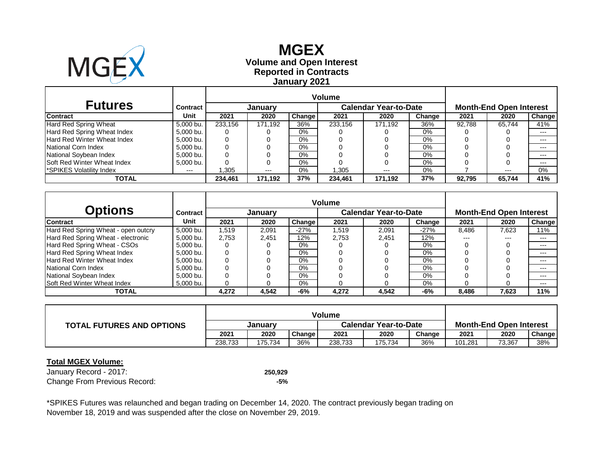

## **Reported in Contracts Volume and Open Interest MGEX January 2021**

| <b>Futures</b>                     | Contract  |         | January |        |         | <b>Calendar Year-to-Date</b> | <b>Month-End Open Interest</b> |        |        |        |
|------------------------------------|-----------|---------|---------|--------|---------|------------------------------|--------------------------------|--------|--------|--------|
| <b>Contract</b>                    | Unit      | 2021    | 2020    | Change | 2021    | 2020                         | Change                         | 2021   | 2020   | Change |
| Hard Red Spring Wheat              | 5.000 bu. | 233.156 | 171.192 | 36%    | 233.156 | 171.192                      | 36%                            | 92.788 | 65.744 | 41%    |
| Hard Red Spring Wheat Index        | 5,000 bu. | 0       |         | $0\%$  |         |                              | 0%                             |        |        | $---$  |
| <b>Hard Red Winter Wheat Index</b> | 5,000 bu. | 0       |         | 0%     |         |                              | 0%                             |        |        | $---$  |
| National Corn Index                | 5.000 bu. |         |         | $0\%$  |         |                              | 0%                             |        |        | $---$  |
| National Soybean Index             | 5,000 bu. |         |         | $0\%$  |         |                              | 0%                             |        |        | $---$  |
| Soft Red Winter Wheat Index        | 5,000 bu. |         |         | $0\%$  |         |                              | 0%                             |        |        | $---$  |
| <b>SPIKES Volatility Index</b>     | $---$     | .305    | $---$   | 0%     | .305    | $---$                        | 0%                             |        | $---$  | 0%     |
| TOTAL                              |           | 234,461 | 171.192 | 37%    | 234,461 | 171,192                      | 37%                            | 92,795 | 65.744 | 41%    |

|                                     |           | <b>Volume</b> |         |               |       |                              |        |       |                                |                     |
|-------------------------------------|-----------|---------------|---------|---------------|-------|------------------------------|--------|-------|--------------------------------|---------------------|
| <b>Options</b>                      | Contract  |               | January |               |       | <b>Calendar Year-to-Date</b> |        |       | <b>Month-End Open Interest</b> |                     |
| <b>Contract</b>                     | Unit      | 2021          | 2020    | <b>Change</b> | 2021  | 2020                         | Change | 2021  | 2020                           | Change <sup>1</sup> |
| Hard Red Spring Wheat - open outcry | 5.000 bu. | 1.519         | 2.091   | $-27%$        | .519  | 2.091                        | $-27%$ | 8,486 | 7,623                          | 11%                 |
| Hard Red Spring Wheat - electronic  | 5,000 bu. | 2.753         | 2.451   | $12\%$        | 2.753 | 2.451                        | 12%    | $---$ | $---$                          | $---$               |
| Hard Red Spring Wheat - CSOs        | 5.000 bu. |               |         | $0\%$         |       |                              | 0%     |       |                                | $---$               |
| Hard Red Spring Wheat Index         | 5.000 bu. | 0             |         | $0\%$         |       |                              | 0%     |       |                                | $---$               |
| <b>Hard Red Winter Wheat Index</b>  | 5.000 bu. |               |         | $0\%$         |       |                              | 0%     |       |                                | $---$               |
| National Corn Index                 | 5,000 bu. |               |         | $0\%$         |       |                              | $0\%$  |       |                                | $---$               |
| National Soybean Index              | 5.000 bu. |               |         | $0\%$         |       |                              | 0%     |       |                                | $---$               |
| <b>Soft Red Winter Wheat Index</b>  | 5,000 bu. |               |         | $0\%$         |       |                              | 0%     |       |                                | $---$               |
| TOTAL                               |           | 4.272         | 4.542   | -6%           | 4,272 | 4.542                        | -6%    | 8.486 | 7.623                          | 11%                 |

|                                  | Volume  |         |        |                              |         |        |                                |        |               |  |
|----------------------------------|---------|---------|--------|------------------------------|---------|--------|--------------------------------|--------|---------------|--|
| <b>TOTAL FUTURES AND OPTIONS</b> | January |         |        | <b>Calendar Year-to-Date</b> |         |        | <b>Month-End Open Interest</b> |        |               |  |
|                                  | 2021    | 2020    | Change | 2021                         | 2020    | Change | 2021                           | 2020   | <b>Change</b> |  |
|                                  | 238.733 | 175.734 | 36%    | 238,733                      | 175.734 | 36%    | 101.281                        | 73,367 | 38%           |  |

#### **Total MGEX Volume:**

January Record - 2017: **250,929** Change From Previous Record: **-5%**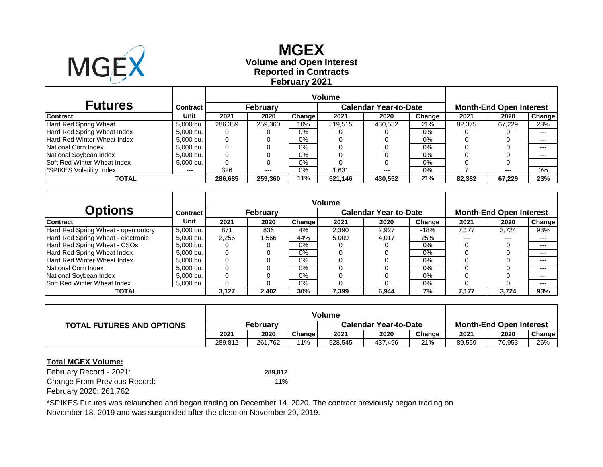

## **Reported in Contracts Volume and Open Interest MGEX February 2021**

| <b>Futures</b>                     | Contract  |         | <b>February</b> |        |         | <b>Calendar Year-to-Date</b> |        | <b>Month-End Open Interest</b> |        |               |  |
|------------------------------------|-----------|---------|-----------------|--------|---------|------------------------------|--------|--------------------------------|--------|---------------|--|
| <b>Contract</b>                    | Unit      | 2021    | 2020            | Change | 2021    | 2020                         | Change | 2021                           | 2020   | <b>Change</b> |  |
| Hard Red Spring Wheat              | 5,000 bu. | 286.359 | 259,360         | 10%    | 519.515 | 430,552                      | 21%    | 82.375                         | 67.229 | 23%           |  |
| Hard Red Spring Wheat Index        | 5,000 bu. | O       |                 | 0%     |         |                              | 0%     |                                |        | $---$         |  |
| <b>Hard Red Winter Wheat Index</b> | 5,000 bu. | 0       |                 | $0\%$  |         |                              | $0\%$  |                                |        | $---$         |  |
| National Corn Index                | 5,000 bu. | 0       |                 | $0\%$  |         |                              | 0%     |                                |        | $---$         |  |
| National Soybean Index             | 5,000 bu. | 0       |                 | $0\%$  |         |                              | 0%     |                                |        | $---$         |  |
| <b>Soft Red Winter Wheat Index</b> | 5,000 bu. | 0       |                 | $0\%$  |         |                              | 0%     |                                |        | $---$         |  |
| <b>SPIKES Volatility Index</b>     | $---$     | 326     | ---             | $0\%$  | .631    | $---$                        | 0%     |                                | $---$  | 0%            |  |
| TOTAL                              |           | 286.685 | 259.360         | 11%    | 521.146 | 430.552                      | 21%    | 82.382                         | 67.229 | 23%           |  |

|                                     |                 | <b>Volume</b> |                 |        |       |                              |        |       |                                |        |
|-------------------------------------|-----------------|---------------|-----------------|--------|-------|------------------------------|--------|-------|--------------------------------|--------|
| <b>Options</b>                      | <b>Contract</b> |               | <b>February</b> |        |       | <b>Calendar Year-to-Date</b> |        |       | <b>Month-End Open Interest</b> |        |
| <b>Contract</b>                     | Unit            | 2021          | 2020            | Change | 2021  | 2020                         | Change | 2021  | 2020                           | Change |
| Hard Red Spring Wheat - open outcry | 5.000 bu.       | 871           | 836             | 4%     | 2,390 | 2.927                        | $-18%$ | 7.177 | 3.724                          | 93%    |
| Hard Red Spring Wheat - electronic  | 5,000 bu.       | 2,256         | 1,566           | 44%    | 5,009 | 4.017                        | 25%    | ---   | $---$                          | $---$  |
| Hard Red Spring Wheat - CSOs        | 5.000 bu.       |               |                 | $0\%$  |       |                              | 0%     |       |                                | $---$  |
| Hard Red Spring Wheat Index         | 5,000 bu.       | 0             |                 | $0\%$  |       |                              | $0\%$  |       |                                | $---$  |
| <b>Hard Red Winter Wheat Index</b>  | 5.000 bu.       |               |                 | $0\%$  |       |                              | $0\%$  |       |                                | $---$  |
| National Corn Index                 | 5.000 bu.       |               |                 | $0\%$  |       |                              | $0\%$  |       |                                | $---$  |
| National Soybean Index              | 5.000 bu.       |               |                 | $0\%$  |       |                              | 0%     |       |                                | $---$  |
| Soft Red Winter Wheat Index         | 5,000 bu.       |               |                 | $0\%$  |       |                              | 0%     |       |                                | $---$  |
| TOTAL                               |                 | 3.127         | 2.402           | 30%    | 7.399 | 6.944                        | 7%     | 7.177 | 3.724                          | 93%    |

| <b>TOTAL FUTURES AND OPTIONS</b> | February |         |        | <b>Calendar Year-to-Date</b> |         |        | <b>Month-End Open Interest</b> |        |               |
|----------------------------------|----------|---------|--------|------------------------------|---------|--------|--------------------------------|--------|---------------|
|                                  | 2021     | 2020    | Change | 2021                         | 2020    | Change | 2021                           | 2020   | <b>Change</b> |
|                                  | 289.812  | 261.762 | 11%    | 528.545                      | 437.496 | 21%    | 89,559                         | 70,953 | 26%           |

#### **Total MGEX Volume:**

February Record - 2021: **289,812** Change From Previous Record: **11%** February 2020: 261,762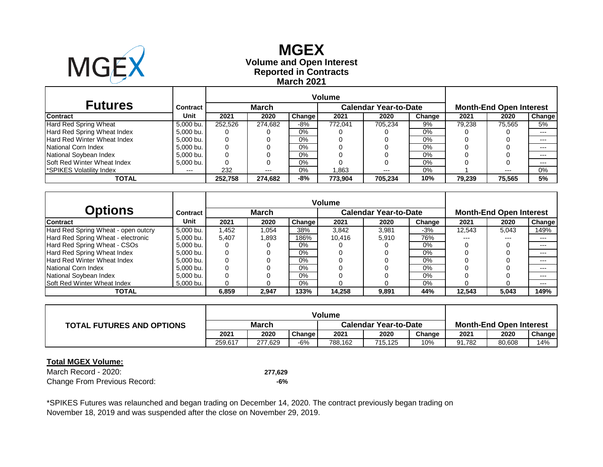

## **Reported in Contracts Volume and Open Interest MGEX March 2021**

| <b>Futures</b>                     | Contract  |         | March   |               |         | <b>Calendar Year-to-Date</b> |        | <b>Month-End Open Interest</b> |        |               |  |
|------------------------------------|-----------|---------|---------|---------------|---------|------------------------------|--------|--------------------------------|--------|---------------|--|
| <b>Contract</b>                    | Unit      | 2021    | 2020    | <b>Change</b> | 2021    | 2020                         | Change | 2021                           | 2020   | <b>Change</b> |  |
| Hard Red Spring Wheat              | 5,000 bu. | 252.526 | 274.682 | -8%           | 772.041 | 705.234                      | 9%     | 79.238                         | 75.565 | 5%            |  |
| Hard Red Spring Wheat Index        | 5,000 bu. | O       |         | 0%            |         |                              | 0%     |                                |        | $---$         |  |
| <b>Hard Red Winter Wheat Index</b> | 5,000 bu. | 0       |         | $0\%$         |         |                              | $0\%$  |                                |        | $---$         |  |
| National Corn Index                | 5,000 bu. | 0       |         | $0\%$         |         |                              | 0%     |                                |        | $---$         |  |
| National Soybean Index             | 5,000 bu. | 0       |         | $0\%$         |         |                              | 0%     |                                |        | $---$         |  |
| <b>Soft Red Winter Wheat Index</b> | 5,000 bu. | 0       |         | $0\%$         |         |                              | 0%     |                                |        | $---$         |  |
| <b>SPIKES Volatility Index</b>     | $---$     | 232     | ---     | $0\%$         | .863    | ---                          | 0%     |                                | $-- -$ | 0%            |  |
| TOTAL                              |           | 252.758 | 274.682 | -8%           | 773.904 | 705.234                      | 10%    | 79,239                         | 75.565 | 5%            |  |

|                                     |                 | <b>Volume</b> |              |        |        |                              |        |        |                                |               |
|-------------------------------------|-----------------|---------------|--------------|--------|--------|------------------------------|--------|--------|--------------------------------|---------------|
| <b>Options</b>                      | <b>Contract</b> |               | <b>March</b> |        |        | <b>Calendar Year-to-Date</b> |        |        | <b>Month-End Open Interest</b> |               |
| <b>Contract</b>                     | Unit            | 2021          | 2020         | Change | 2021   | 2020                         | Change | 2021   | 2020                           | <b>Change</b> |
| Hard Red Spring Wheat - open outcry | 5.000 bu.       | 1.452         | 1.054        | 38%    | 3.842  | 3.981                        | $-3%$  | 12.543 | 5,043                          | 149%          |
| Hard Red Spring Wheat - electronic  | 5,000 bu.       | 5,407         | 1.893        | 186%   | 10.416 | 5.910                        | 76%    | ---    | $---$                          | $---$         |
| Hard Red Spring Wheat - CSOs        | 5.000 bu.       |               |              | $0\%$  |        |                              | 0%     |        |                                | $---$         |
| Hard Red Spring Wheat Index         | 5,000 bu.       | 0             |              | $0\%$  |        |                              | 0%     |        |                                | $---$         |
| <b>Hard Red Winter Wheat Index</b>  | 5.000 bu.       |               |              | $0\%$  |        |                              | $0\%$  |        |                                | $---$         |
| National Corn Index                 | 5.000 bu.       |               |              | $0\%$  |        |                              | $0\%$  |        |                                | $---$         |
| National Soybean Index              | 5.000 bu.       |               |              | $0\%$  |        |                              | 0%     |        |                                | $---$         |
| Soft Red Winter Wheat Index         | 5,000 bu.       |               |              | $0\%$  |        |                              | 0%     |        |                                | $---$         |
| TOTAL                               |                 | 6.859         | 2,947        | 133%   | 14.258 | 9.891                        | 44%    | 12.543 | 5,043                          | 149%          |

| <b>TOTAL FUTURES AND OPTIONS</b> | March   |         |        | <b>Calendar Year-to-Date</b> |         |        | <b>Month-End Open Interest</b> |        |        |  |
|----------------------------------|---------|---------|--------|------------------------------|---------|--------|--------------------------------|--------|--------|--|
|                                  | 2021    | 2020    | Change | 2021                         | 2020    | Change | 2021                           | 2020   | Change |  |
|                                  | 259.617 | 277.629 | -6%    | 788.162                      | 715.125 | 10%    | 91.782                         | 80,608 | 14%    |  |

#### **Total MGEX Volume:**

March Record - 2020: **277,629** Change From Previous Record: **-6%**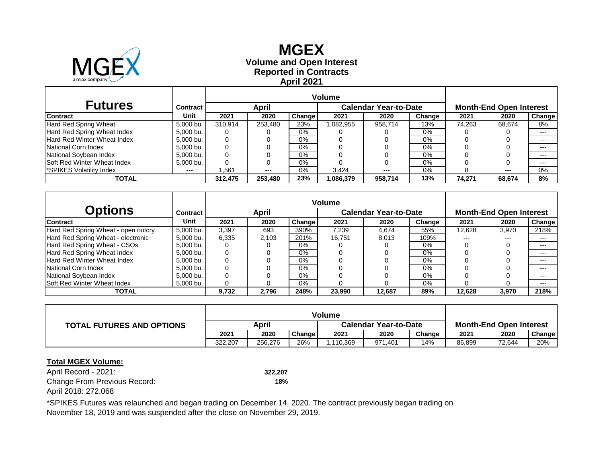

## **Reported in Contracts Volume and Open Interest MGEX April 2021**

| <b>Futures</b>                     | Contract  |         | <b>April</b> |        |           | <b>Calendar Year-to-Date</b> | <b>Month-End Open Interest</b> |        |        |         |
|------------------------------------|-----------|---------|--------------|--------|-----------|------------------------------|--------------------------------|--------|--------|---------|
| <b>Contract</b>                    | Unit      | 2021    | 2020         | Change | 2021      | 2020                         | Change                         | 2021   | 2020   | Change  |
| Hard Red Spring Wheat              | 5,000 bu. | 310.914 | 253.480      | 23%    | 1,082,955 | 958.714                      | 13%                            | 74.263 | 68.674 | 8%      |
| Hard Red Spring Wheat Index        | 5,000 bu. | O       |              | $0\%$  |           |                              | 0%                             |        |        | $---$   |
| <b>Hard Red Winter Wheat Index</b> | 5,000 bu. | 0       |              | $0\%$  |           |                              | $0\%$                          |        |        | $---$   |
| National Corn Index                | 5,000 bu. | 0       |              | $0\%$  |           |                              | $0\%$                          |        |        | $---$   |
| National Soybean Index             | 5,000 bu. | 0       |              | 0%     |           |                              | 0%                             |        |        | $- - -$ |
| Soft Red Winter Wheat Index        | 5,000 bu. |         |              | 0%     |           |                              | 0%                             |        |        | $---$   |
| SPIKES Volatility Index            | $---$     | .561    | $---$        | $0\%$  | 3.424     | $---$                        | 0%                             |        | $---$  | 0%      |
| TOTAL                              |           | 312.475 | 253,480      | 23%    | 1,086,379 | 958,714                      | 13%                            | 74,271 | 68.674 | 8%      |

|                                     |                 | <b>Volume</b> |       |        |        |                              |        |                                |       |        |  |
|-------------------------------------|-----------------|---------------|-------|--------|--------|------------------------------|--------|--------------------------------|-------|--------|--|
| Options                             | <b>Contract</b> |               | April |        |        | <b>Calendar Year-to-Date</b> |        | <b>Month-End Open Interest</b> |       |        |  |
| <b>Contract</b>                     | Unit            | 2021          | 2020  | Change | 2021   | 2020                         | Change | 2021                           | 2020  | Change |  |
| Hard Red Spring Wheat - open outcry | 5.000 bu.       | 3,397         | 693   | 390%   | 7,239  | 4.674                        | 55%    | 12.628                         | 3,970 | 218%   |  |
| Hard Red Spring Wheat - electronic  | 5,000 bu.       | 6,335         | 2.103 | 201%   | 16.751 | 8.013                        | 109%   | $---$                          | $---$ | $---$  |  |
| Hard Red Spring Wheat - CSOs        | 5.000 bu.       |               |       | $0\%$  |        |                              | $0\%$  |                                |       | $---$  |  |
| Hard Red Spring Wheat Index         | 5,000 bu.       |               |       | 0%     |        |                              | $0\%$  |                                |       | $---$  |  |
| <b>Hard Red Winter Wheat Index</b>  | 5.000 bu.       |               |       | 0%     |        |                              | 0%     |                                |       | $---$  |  |
| National Corn Index                 | 5.000 bu.       |               |       | $0\%$  |        |                              | $0\%$  |                                |       | $---$  |  |
| National Soybean Index              | 5,000 bu.       |               |       | $0\%$  |        |                              | $0\%$  |                                |       | $---$  |  |
| Soft Red Winter Wheat Index         | 5,000 bu.       |               |       | $0\%$  |        |                              | $0\%$  |                                |       | $---$  |  |
| <b>TOTAL</b>                        |                 | 9.732         | 2.796 | 248%   | 23.990 | 12.687                       | 89%    | 12.628                         | 3,970 | 218%   |  |

|                                  | Volume  |         |        |                              |         |        |                                |        |               |
|----------------------------------|---------|---------|--------|------------------------------|---------|--------|--------------------------------|--------|---------------|
| <b>TOTAL FUTURES AND OPTIONS</b> | April   |         |        | <b>Calendar Year-to-Date</b> |         |        | <b>Month-End Open Interest</b> |        |               |
|                                  | 2021    | 2020    | Change | 2021                         | 2020    | Change | 2021                           | 2020   | <b>Change</b> |
|                                  | 322,207 | 256,276 | 26%    | ,110,369                     | 971.401 | 14%    | 86,899                         | 72.644 | 20%           |

#### **Total MGEX Volume:**

April Record - 2021: **322,207** Change From Previous Record: **18%** April 2018: 272,068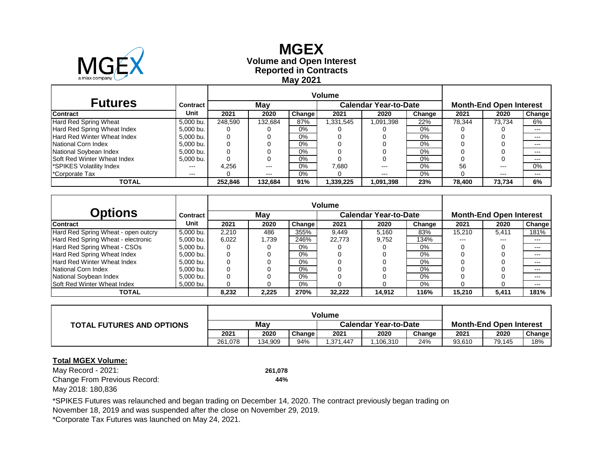

## **Reported in Contracts Volume and Open Interest MGEX May 2021**

| <b>Futures</b>                     | Contract  |         | Mav     |               |           | <b>Calendar Year-to-Date</b> |        | <b>Month-End Open Interest</b> |        |         |  |
|------------------------------------|-----------|---------|---------|---------------|-----------|------------------------------|--------|--------------------------------|--------|---------|--|
| Contract                           | Unit      | 2021    | 2020    | <b>Change</b> | 2021      | 2020                         | Change | 2021                           | 2020   | Change  |  |
| Hard Red Spring Wheat              | 5.000 bu. | 248.590 | 132.684 | 87%           | 331,545   | 1,091,398                    | 22%    | 78.344                         | 73.734 | 6%      |  |
| Hard Red Spring Wheat Index        | 5,000 bu. | 0       |         | $0\%$         |           |                              | 0%     |                                |        | $- - -$ |  |
| Hard Red Winter Wheat Index        | 5.000 bu. |         |         | 0%            |           |                              | $0\%$  |                                |        | $- - -$ |  |
| National Corn Index                | 5.000 bu. |         |         | 0%            |           |                              | $0\%$  |                                |        | $-- -$  |  |
| National Soybean Index             | 5.000 bu. | 0       |         | 0%            |           |                              | $0\%$  |                                |        | $- - -$ |  |
| <b>Soft Red Winter Wheat Index</b> | 5,000 bu. | 0       |         | 0%            |           |                              | 0%     |                                |        | $- - -$ |  |
| <b>SPIKES Volatility Index</b>     | $---$     | 4.256   | $---$   | 0%            | 7.680     | $---$                        | 0%     | 56                             | $---$  | $0\%$   |  |
| <sup>*</sup> Corporate Tax         | $---$     |         | $---$   | 0%            |           | ---                          | 0%     |                                | $---$  | $---$   |  |
| TOTAL                              |           | 252.846 | 132.684 | 91%           | 1,339,225 | 1,091,398                    | 23%    | 78.400                         | 73.734 | 6%      |  |

|                                     |           | Volume   |       |               |        |                              |                                |        |         |               |
|-------------------------------------|-----------|----------|-------|---------------|--------|------------------------------|--------------------------------|--------|---------|---------------|
| <b>Options</b>                      | Contract  |          | May   |               |        | <b>Calendar Year-to-Date</b> | <b>Month-End Open Interest</b> |        |         |               |
| Contract                            | Unit      | 2021     | 2020  | <b>Change</b> | 2021   | 2020                         | Change                         | 2021   | 2020    | <b>Change</b> |
| Hard Red Spring Wheat - open outcry | 5.000 bu. | 2,210    | 486   | 355%          | 9.449  | 5.160                        | 83%                            | 15,210 | 5,411   | 181%          |
| Hard Red Spring Wheat - electronic  | 5.000 bu. | 6.022    | 1.739 | 246%          | 22.773 | 9.752                        | 134%                           | ---    | $- - -$ | $- - -$       |
| Hard Red Spring Wheat - CSOs        | 5.000 bu. | 0        |       | $0\%$         |        |                              | $0\%$                          |        |         | $- - -$       |
| Hard Red Spring Wheat Index         | 5.000 bu. | 0        |       | $0\%$         |        |                              | $0\%$                          |        |         |               |
| <b>Hard Red Winter Wheat Index</b>  | 5.000 bu. | 0        |       | 0%            |        |                              | $0\%$                          |        |         | $- - -$       |
| National Corn Index                 | 5.000 bu. | $\Omega$ |       | 0%            |        |                              | 0%                             |        |         | $- - -$       |
| National Sovbean Index              | 5.000 bu. | 0        |       | 0%            |        |                              | 0%                             |        |         | $- - -$       |
| <b>Soft Red Winter Wheat Index</b>  | 5,000 bu. | 0        |       | $0\%$         |        |                              | $0\%$                          |        |         | $- - -$       |
| <b>TOTAL</b>                        |           | 8,232    | 2.225 | 270%          | 32.222 | 14.912                       | 116%                           | 15.210 | 5,411   | 181%          |

|                                  | <b>Volume</b> |         |        |                       |          |        |                                |        |               |
|----------------------------------|---------------|---------|--------|-----------------------|----------|--------|--------------------------------|--------|---------------|
| <b>TOTAL FUTURES AND OPTIONS</b> | Mav           |         |        | Calendar Year-to-Date |          |        | <b>Month-End Open Interest</b> |        |               |
|                                  | 2021          | 2020    | Change | 2021                  | 2020     | Change | 2021                           | 2020   | <b>Change</b> |
|                                  | 261.078       | 134.909 | 94%    | 1.371.447             | ,106,310 | 24%    | 93,610                         | 79,145 | 18%           |

#### **Total MGEX Volume:**

May Record - 2021: **261,078** Change From Previous Record: **44%** May 2018: 180,836

\*SPIKES Futures was relaunched and began trading on December 14, 2020. The contract previously began trading on

November 18, 2019 and was suspended after the close on November 29, 2019.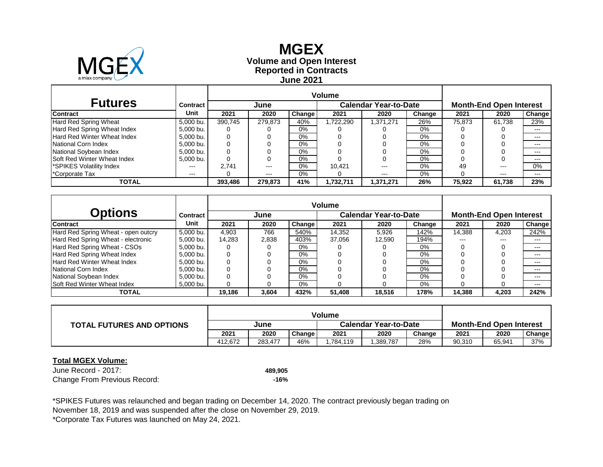

## **Reported in Contracts Volume and Open Interest MGEX June 2021**

| <b>Futures</b>                 | Contract  |         | June    |               |            | <b>Calendar Year-to-Date</b> |        | <b>Month-End Open Interest</b> |        |         |  |
|--------------------------------|-----------|---------|---------|---------------|------------|------------------------------|--------|--------------------------------|--------|---------|--|
| <b>Contract</b>                | Unit      | 2021    | 2020    | <b>Change</b> | 2021       | 2020                         | Change | 2021                           | 2020   | Change  |  |
| Hard Red Spring Wheat          | 5.000 bu. | 390.745 | 279.873 | 40%           | ,722,290   | 1.371.271                    | 26%    | 75.873                         | 61.738 | 23%     |  |
| Hard Red Spring Wheat Index    | 5,000 bu. | 0       |         | 0%            |            |                              | 0%     |                                |        | $- - -$ |  |
| Hard Red Winter Wheat Index    | 5.000 bu. | 0       |         | 0%            |            |                              | 0%     |                                |        | $---$   |  |
| National Corn Index            | 5.000 bu. | 0       |         | 0%            |            |                              | 0%     |                                |        | $-- -$  |  |
| National Soybean Index         | 5.000 bu. | 0       |         | 0%            |            |                              | $0\%$  |                                |        | $- - -$ |  |
| Soft Red Winter Wheat Index    | 5,000 bu. | 0       | O       | 0%            |            |                              | 0%     |                                |        | $- - -$ |  |
| <b>SPIKES Volatility Index</b> | ---       | 2.741   | ---     | 0%            | 10.421     | ---                          | 0%     | 49                             | $---$  | $0\%$   |  |
| *Corporate Tax                 | ---       |         | ---     | 0%            |            | ---                          | 0%     |                                | $---$  | $---$   |  |
| TOTAL                          |           | 393,486 | 279.873 | 41%           | 11,732,711 | 1,371,271                    | 26%    | 75,922                         | 61,738 | 23%     |  |

|                                     |           | <b>Volume</b> |       |        |        |                       |                                |        |       |               |
|-------------------------------------|-----------|---------------|-------|--------|--------|-----------------------|--------------------------------|--------|-------|---------------|
| <b>Options</b>                      | Contract  |               | June  |        |        | Calendar Year-to-Date | <b>Month-End Open Interest</b> |        |       |               |
| <b>Contract</b>                     | Unit      | 2021          | 2020  | Change | 2021   | 2020                  | Change                         | 2021   | 2020  | <b>Change</b> |
| Hard Red Spring Wheat - open outcry | 5.000 bu. | 4.903         | 766   | 540%   | 14,352 | 5.926                 | 142%                           | 14,388 | 4.203 | 242%          |
| Hard Red Spring Wheat - electronic  | 5,000 bu. | 14,283        | 2,838 | 403%   | 37.056 | 12.590                | 194%                           | ---    | ---   |               |
| Hard Red Spring Wheat - CSOs        | 5.000 bu. | 0             |       | $0\%$  |        |                       | 0%                             |        |       | $---$         |
| Hard Red Spring Wheat Index         | 5.000 bu. | 0             |       | $0\%$  |        |                       | 0%                             |        |       | $- - -$       |
| <b>Hard Red Winter Wheat Index</b>  | 5.000 bu. | 0             |       | $0\%$  |        |                       | 0%                             |        |       | $- - -$       |
| National Corn Index                 | 5,000 bu. | 0             |       | $0\%$  |        |                       | $0\%$                          |        |       | $- - -$       |
| National Soybean Index              | 5.000 bu. | 0             |       | $0\%$  |        |                       | 0%                             |        |       | $- - -$       |
| <b>Soft Red Winter Wheat Index</b>  | 5,000 bu. | O             |       | $0\%$  |        |                       | $0\%$                          |        |       | $---$         |
| <b>TOTAL</b>                        |           | 19.186        | 3.604 | 432%   | 51.408 | 18.516                | 178%                           | 14.388 | 4,203 | 242%          |

|                                  | <b>Volume</b> |         |        |                       |          |        |                                |        |               |
|----------------------------------|---------------|---------|--------|-----------------------|----------|--------|--------------------------------|--------|---------------|
| <b>TOTAL FUTURES AND OPTIONS</b> | June          |         |        | Calendar Year-to-Date |          |        | <b>Month-End Open Interest</b> |        |               |
|                                  | 2021          | 2020    | Change | 2021                  | 2020     | Change | 2021                           | 2020   | <b>Change</b> |
|                                  | 412.672       | 283.477 | 46%    | ,784,119              | ,389,787 | 28%    | 90,310                         | 65,941 | 37%           |

#### **Total MGEX Volume:**

June Record - 2017: **489,905** Change From Previous Record: **-16%**

November 18, 2019 and was suspended after the close on November 29, 2019. \*SPIKES Futures was relaunched and began trading on December 14, 2020. The contract previously began trading on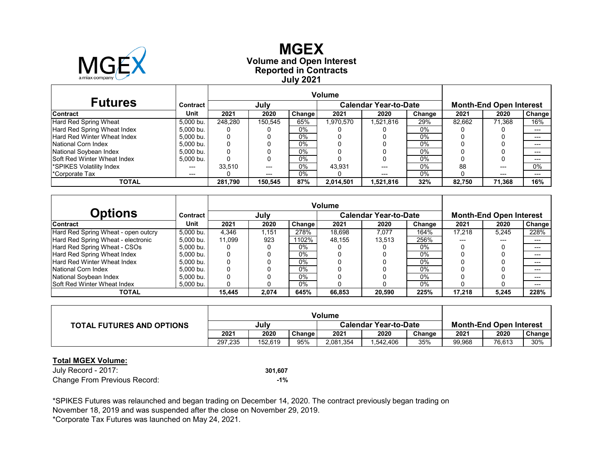

## **Reported in Contracts Volume and Open Interest MGEX July 2021**

| <b>Futures</b>                     | Contract  |         | July    |        |           | <b>Calendar Year-to-Date</b> |        |        | <b>Month-End Open Interest</b> |               |  |
|------------------------------------|-----------|---------|---------|--------|-----------|------------------------------|--------|--------|--------------------------------|---------------|--|
| <b>Contract</b>                    | Unit      | 2021    | 2020    | Change | 2021      | 2020                         | Change | 2021   | 2020                           | <b>Change</b> |  |
| Hard Red Spring Wheat              | 5.000 bu. | 248.280 | 150.545 | 65%    | 1,970,570 | 1,521,816                    | 29%    | 82.662 | 71.368                         | 16%           |  |
| Hard Red Spring Wheat Index        | 5.000 bu. | υ       |         | $0\%$  |           |                              | $0\%$  |        |                                | $---$         |  |
| Hard Red Winter Wheat Index        | 5.000 bu. |         |         | 0%     |           |                              | $0\%$  |        |                                | $---$         |  |
| National Corn Index                | 5.000 bu. |         |         | $0\%$  |           |                              | $0\%$  |        |                                | $---$         |  |
| National Soybean Index             | 5.000 bu. |         |         | $0\%$  |           |                              | $0\%$  |        |                                | $---$         |  |
| <b>Soft Red Winter Wheat Index</b> | 5.000 bu. |         |         | 0%     |           |                              | $0\%$  |        |                                | $---$         |  |
| SPIKES Volatility Index            | ---       | 33.510  | $---$   | 0%     | 43.931    | ---                          | $0\%$  | 88     | ---                            | 0%            |  |
| *Corporate Tax                     | $---$     |         | $---$   | 0%     |           | ---                          | $0\%$  |        | ---                            | $---$         |  |
| TOTAL                              |           | 281,790 | 150.545 | 87%    | 2,014,501 | 1,521,816                    | 32%    | 82.750 | 71,368                         | 16%           |  |

|                                     |           | <b>Volume</b> |       |        |        |                              |        |                                |       |               |  |
|-------------------------------------|-----------|---------------|-------|--------|--------|------------------------------|--------|--------------------------------|-------|---------------|--|
| <b>Options</b>                      | Contract  |               | July  |        |        | <b>Calendar Year-to-Date</b> |        | <b>Month-End Open Interest</b> |       |               |  |
| <b>Contract</b>                     | Unit      | 2021          | 2020  | Change | 2021   | 2020                         | Change | 2021                           | 2020  | <b>Change</b> |  |
| Hard Red Spring Wheat - open outcry | 5.000 bu. | 4,346         | 1.151 | 278%   | 18.698 | 7.077                        | 164%   | 17.218                         | 5,245 | 228%          |  |
| Hard Red Spring Wheat - electronic  | 5.000 bu. | 11.099        | 923   | 1102%  | 48.155 | 13.513                       | 256%   |                                | ---   |               |  |
| Hard Red Spring Wheat - CSOs        | 5.000 bu. | 0             |       | $0\%$  |        |                              | $0\%$  |                                |       |               |  |
| Hard Red Spring Wheat Index         | 5.000 bu. | 0             |       | 0%     |        |                              | $0\%$  |                                |       |               |  |
| <b>Hard Red Winter Wheat Index</b>  | 5.000 bu. |               |       | $0\%$  |        |                              | $0\%$  |                                |       |               |  |
| National Corn Index                 | 5.000 bu. |               |       | $0\%$  |        |                              | $0\%$  |                                |       | $---$         |  |
| National Soybean Index              | 5.000 bu. | 0             |       | 0%     |        |                              | $0\%$  |                                |       |               |  |
| <b>Soft Red Winter Wheat Index</b>  | 5.000 bu. | 0             |       | $0\%$  |        |                              | $0\%$  |                                |       | $---$         |  |
| <b>TOTAL</b>                        |           | 15.445        | 2,074 | 645%   | 66.853 | 20.590                       | 225%   | 17.218                         | 5,245 | 228%          |  |

| <b>TOTAL FUTURES AND OPTIONS</b> |         | July    |        |           | <b>Calendar Year-to-Date</b> | <b>Month-End Open Interest</b> |        |        |        |
|----------------------------------|---------|---------|--------|-----------|------------------------------|--------------------------------|--------|--------|--------|
|                                  | 2021    | 2020    | Change | 2021      | 2020                         | Change                         | 2021   | 2020   | Change |
|                                  | 297.235 | 152.619 | 95%    | 2,081,354 | ,542,406                     | 35%                            | 99,968 | 76,613 | 30%    |

#### **Total MGEX Volume:**

July Record - 2017: **301,607** Change From Previous Record: **-1%**

November 18, 2019 and was suspended after the close on November 29, 2019. \*SPIKES Futures was relaunched and began trading on December 14, 2020. The contract previously began trading on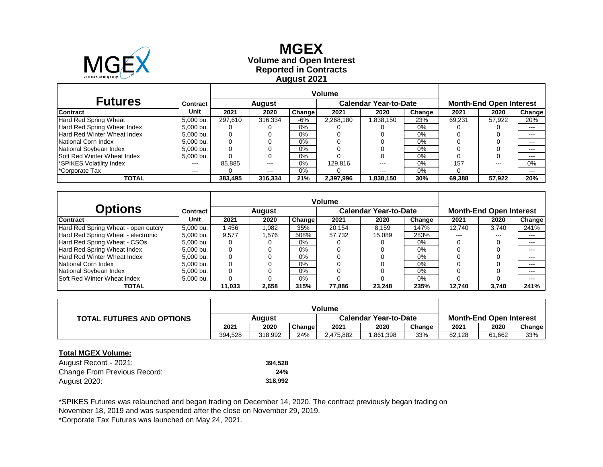

 $\mathsf{I}$ 

### **Reported in Contracts Volume and Open Interest MGEX August 2021**

| <b>Futures</b>                     | Contract      |         | <b>August</b> |        |           | <b>Calendar Year-to-Date</b> | <b>Month-End Open Interest</b> |        |               |         |
|------------------------------------|---------------|---------|---------------|--------|-----------|------------------------------|--------------------------------|--------|---------------|---------|
| <b>Contract</b>                    | Unit          | 2021    | 2020          | Change | 2021      | 2020                         | Change                         | 2021   | 2020          | Change  |
| Hard Red Spring Wheat              | 5.000 bu.     | 297.610 | 316.334       | $-6%$  | 2,268,180 | 1,838,150                    | 23%                            | 69,231 | 57.922        | 20%     |
| Hard Red Spring Wheat Index        | 5.000 bu.     |         |               | 0%     |           |                              | 0%                             |        |               | $- - -$ |
| Hard Red Winter Wheat Index        | 5.000 bu.     | 0       |               | $0\%$  |           |                              | $0\%$                          |        |               | $- - -$ |
| National Corn Index                | 5.000 bu.     | 0       |               | 0%     |           |                              | 0%                             |        |               | $- - -$ |
| National Soybean Index             | 5.000 bu.     |         |               | $0\%$  |           |                              | 0%                             |        |               | $- - -$ |
| <b>Soft Red Winter Wheat Index</b> | 5,000 bu.     |         |               | 0%     |           |                              | 0%                             |        |               | $- - -$ |
| SPIKES Volatility Index            | ---           | 85.885  | $- - -$       | $0\%$  | 129.816   |                              | $0\%$                          | 157    | $--$          | 0%      |
| <sup>*</sup> Corporate Tax         | $\frac{1}{2}$ |         | $- - -$       | $0\%$  |           | $\frac{1}{2}$                | 0%                             |        | $\frac{1}{2}$ | $- - -$ |
| <b>TOTAL</b>                       |               | 383.495 | 316,334       | 21%    | 2,397,996 | 1,838,150                    | 30%                            | 69.388 | 57,922        | 20%     |

|                                     |           | <b>Volume</b> |        |        |        |                              |                                |        |       |               |
|-------------------------------------|-----------|---------------|--------|--------|--------|------------------------------|--------------------------------|--------|-------|---------------|
| <b>Options</b>                      | Contract  |               | August |        |        | <b>Calendar Year-to-Date</b> | <b>Month-End Open Interest</b> |        |       |               |
| <b>Contract</b>                     | Unit      | 2021          | 2020   | Change | 2021   | 2020                         | Change                         | 2021   | 2020  | <b>Change</b> |
| Hard Red Spring Wheat - open outcry | 5.000 bu. | .456          | 1.082  | 35%    | 20.154 | 8.159                        | 147%                           | 12.740 | 3.740 | 241%          |
| Hard Red Spring Wheat - electronic  | 5.000 bu. | 9.577         | 1.576  | 508%   | 57.732 | 15.089                       | 283%                           | ---    | ---   | $- - -$       |
| Hard Red Spring Wheat - CSOs        | 5.000 bu. | 0             |        | $0\%$  |        |                              | $0\%$                          |        |       | $- - -$       |
| Hard Red Spring Wheat Index         | 5.000 bu. | 0             |        | 0%     |        |                              | 0%                             |        |       | $- - -$       |
| Hard Red Winter Wheat Index         | 5.000 bu. |               |        | 0%     |        |                              | 0%                             |        |       | $- - -$       |
| National Corn Index                 | 5.000 bu. |               |        | 0%     |        |                              | 0%                             |        |       | $- - -$       |
| National Soybean Index              | 5.000 bu. | 0             |        | $0\%$  |        |                              | 0%                             |        |       | $- - -$       |
| Soft Red Winter Wheat Index         | 5,000 bu. | 0             |        | 0%     |        |                              | 0%                             |        |       | $- - -$       |
| TOTAL                               |           | 11.033        | 2.658  | 315%   | 77.886 | 23.248                       | 235%                           | 12.740 | 3.740 | 241%          |

| <b>TOTAL FUTURES AND OPTIONS</b> | Auqust  |         |        | <b>Calendar Year-to-Date</b> |          |        |        | <b>Month-End Open Interest</b> |        |
|----------------------------------|---------|---------|--------|------------------------------|----------|--------|--------|--------------------------------|--------|
|                                  | 2021    | 2020    | Change | 2021                         | 2020     | Change | 2021   | 2020                           | Change |
|                                  | 394,528 | 318,992 | 24%    | 2.475.882                    | .861,398 | 33%    | 82,128 | 61.662                         | 33%    |

#### **Total MGEX Volume:**

| August Record - 2021:        | 394.528 |
|------------------------------|---------|
| Change From Previous Record: | 24%     |
| August 2020:                 | 318.992 |

November 18, 2019 and was suspended after the close on November 29, 2019. \*SPIKES Futures was relaunched and began trading on December 14, 2020. The contract previously began trading on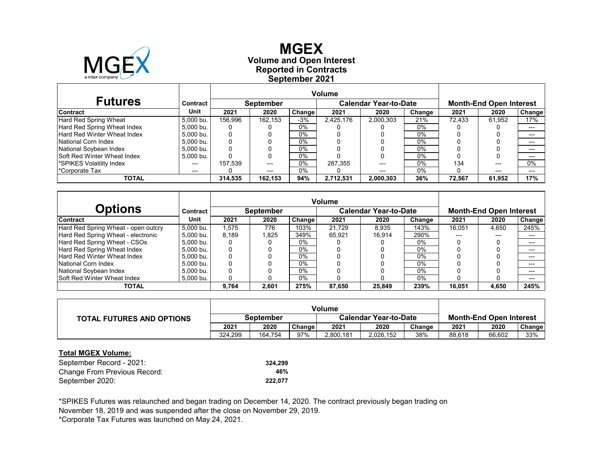

### **Reported in Contracts Volume and Open Interest MGEX September 2021**

| <b>Futures</b>                     | Contract  |         | <b>September</b> |        |           | <b>Calendar Year-to-Date</b> |        | <b>Month-End Open Interest</b> |        |        |  |
|------------------------------------|-----------|---------|------------------|--------|-----------|------------------------------|--------|--------------------------------|--------|--------|--|
| <b>Contract</b>                    | Unit      | 2021    | 2020             | Change | 2021      | 2020                         | Change | 2021                           | 2020   | Change |  |
| Hard Red Spring Wheat              | 5.000 bu. | 156.996 | 162.153          | $-3%$  | 2.425.176 | 2,000,303                    | 21%    | 72.433                         | 61.952 | 17%    |  |
| Hard Red Spring Wheat Index        | 5.000 bu. |         |                  | 0%     |           |                              | 0%     |                                |        | ---    |  |
| Hard Red Winter Wheat Index        | 5.000 bu. | 0       |                  | $0\%$  |           |                              | $0\%$  |                                |        | $---$  |  |
| National Corn Index                | 5.000 bu. | 0       |                  | $0\%$  |           |                              | $0\%$  |                                |        | $---$  |  |
| National Soybean Index             | 5.000 bu. | 0       |                  | $0\%$  |           |                              | $0\%$  |                                |        | ---    |  |
| <b>Soft Red Winter Wheat Index</b> | 5,000 bu. |         |                  | $0\%$  |           |                              | $0\%$  |                                |        | $---$  |  |
| SPIKES Volatility Index            | ---       | 157.539 | $---$            | $0\%$  | 287.355   | ---                          | 0%     | 134                            | $---$  | $0\%$  |  |
| <sup>*</sup> Corporate Tax         | ---       |         | $---$            | $0\%$  |           | ---                          | $0\%$  |                                | $---$  | $---$  |  |
| <b>TOTAL</b>                       |           | 314.535 | 162.153          | 94%    | 2,712,531 | 2,000,303                    | 36%    | 72.567                         | 61,952 | 17%    |  |

| Options                             | Contract  |          | <b>September</b> |        |        | <b>Calendar Year-to-Date</b> |        |        | <b>Month-End Open Interest</b> |               |  |  |
|-------------------------------------|-----------|----------|------------------|--------|--------|------------------------------|--------|--------|--------------------------------|---------------|--|--|
| <b>Contract</b>                     | Unit      | 2021     | 2020             | Change | 2021   | 2020                         | Change | 2021   | 2020                           | <b>Change</b> |  |  |
| Hard Red Spring Wheat - open outcry | 5.000 bu. | 1.575    | 776              | 103%   | 21.729 | 8.935                        | 143%   | 16,051 | 4,650                          | 245%          |  |  |
| Hard Red Spring Wheat - electronic  | 5.000 bu. | 8.189    | 1.825            | 349%   | 65.921 | 16.914                       | 290%   | ---    | ---                            | $---$         |  |  |
| Hard Red Spring Wheat - CSOs        | 5.000 bu. | $\Omega$ |                  | $0\%$  |        |                              | $0\%$  |        |                                | $---$         |  |  |
| Hard Red Spring Wheat Index         | 5.000 bu. |          |                  | $0\%$  |        |                              | $0\%$  |        |                                | $---$         |  |  |
| <b>Hard Red Winter Wheat Index</b>  | 5.000 bu. |          |                  | 0%     |        |                              | $0\%$  |        |                                | $---$         |  |  |
| National Corn Index                 | 5.000 bu. |          |                  | $0\%$  |        |                              | $0\%$  |        |                                | $---$         |  |  |
| National Soybean Index              | 5.000 bu. |          |                  | $0\%$  |        |                              | $0\%$  |        |                                | $---$         |  |  |
| <b>Soft Red Winter Wheat Index</b>  | 5.000 bu. | 0        |                  | $0\%$  |        |                              | $0\%$  |        |                                | $---$         |  |  |
| <b>TOTAL</b>                        |           | 9.764    | 2.601            | 275%   | 87.650 | 25.849                       | 239%   | 16.051 | 4,650                          | 245%          |  |  |

|                                  | <b>Volume</b> |         |        |                              |           |        |                                |        |        |
|----------------------------------|---------------|---------|--------|------------------------------|-----------|--------|--------------------------------|--------|--------|
| <b>TOTAL FUTURES AND OPTIONS</b> | September     |         |        | <b>Calendar Year-to-Date</b> |           |        | <b>Month-End Open Interest</b> |        |        |
|                                  | 2021          | 2020    | Change | 2021                         | 2020      | Change | 2021                           | 2020   | Change |
|                                  | 324.299       | 164.754 | 97%    | 2,800,181                    | 2,026,152 | 38%    | 88.618                         | 66.602 | 33%    |

#### **Total MGEX Volume:**

| September Record - 2021:     | 324.299 |
|------------------------------|---------|
| Change From Previous Record: | 46%     |
| September 2020:              | 222.077 |

November 18, 2019 and was suspended after the close on November 29, 2019. \*SPIKES Futures was relaunched and began trading on December 14, 2020. The contract previously began trading on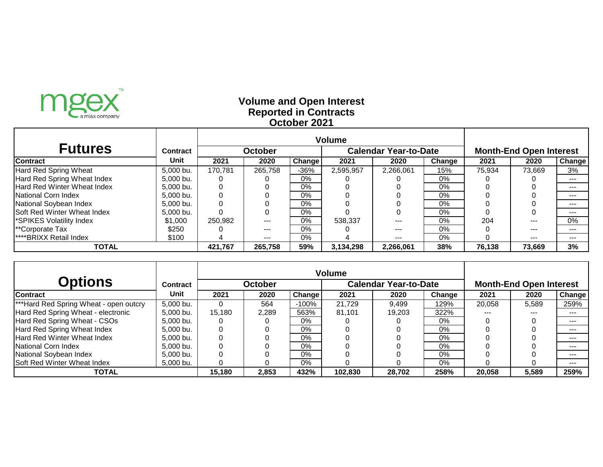

# **Reported in Contracts Volume and Open Interest October 2021**

| <b>Futures</b>                     | <b>Contract</b> |         | <b>October</b> |               |           | <b>Calendar Year-to-Date</b> | <b>Month-End Open Interest</b> |        |         |         |
|------------------------------------|-----------------|---------|----------------|---------------|-----------|------------------------------|--------------------------------|--------|---------|---------|
| Contract                           | Unit            | 2021    | 2020           | <b>Change</b> | 2021      | 2020                         | Change                         | 2021   | 2020    | Change  |
| Hard Red Spring Wheat              | 5,000 bu.       | 170,781 | 265,758        | $-36%$        | 2,595,957 | 2,266,061                    | 15%                            | 75,934 | 73,669  | 3%      |
| Hard Red Spring Wheat Index        | 5,000 bu.       |         |                | $0\%$         |           |                              | $0\%$                          |        |         | ---     |
| <b>Hard Red Winter Wheat Index</b> | 5,000 bu.       |         |                | $0\%$         |           |                              | $0\%$                          |        |         | $- - -$ |
| <b>INational Corn Index</b>        | $5.000$ bu.     |         |                | $0\%$         |           |                              | $0\%$                          |        |         | $- - -$ |
| National Soybean Index             | 5,000 bu.       |         |                | $0\%$         |           |                              | 0%                             |        |         |         |
| <b>Soft Red Winter Wheat Index</b> | 5,000 bu.       |         |                | 0%            |           |                              | $0\%$                          |        |         | $--$    |
| <b>SPIKES Volatility Index</b>     | \$1,000         | 250,982 | $- - -$        | 0%            | 538,337   | ---                          | 0%                             | 204    | $- - -$ | $0\%$   |
| <b>**Corporate Tax</b>             | \$250           |         | $- - -$        | $0\%$         |           | ---                          | $0\%$                          |        | $- - -$ | $- - -$ |
| <b>****BRIXX Retail Index</b>      | \$100           |         | $- - -$        | $0\%$         |           | ---                          | 0%                             |        | $- - -$ |         |
| <b>TOTAL</b>                       |                 | 421,767 | 265,758        | 59%           | 3,134,298 | 2,266,061                    | 38%                            | 76,138 | 73,669  | 3%      |

| <b>Options</b>                         | <b>Contract</b> |        | <b>October</b> |               |         | <b>Calendar Year-to-Date</b> |        | <b>Month-End Open Interest</b> |       |         |  |
|----------------------------------------|-----------------|--------|----------------|---------------|---------|------------------------------|--------|--------------------------------|-------|---------|--|
| <b>Contract</b>                        | Unit            | 2021   | 2020           | <b>Change</b> | 2021    | 2020                         | Change | 2021                           | 2020  | Change! |  |
| ***Hard Red Spring Wheat - open outcry | 5,000 bu.       |        | 564            | $-100\%$      | 21,729  | 9,499                        | 129%   | 20,058                         | 5,589 | 259%    |  |
| Hard Red Spring Wheat - electronic     | 5,000 bu.       | 15,180 | 2,289          | 563%          | 81,101  | 19.203                       | 322%   | $- - -$                        | ---   | $- - -$ |  |
| Hard Red Spring Wheat - CSOs           | 5,000 bu.       |        |                | $0\%$         |         |                              | $0\%$  |                                |       | $- - -$ |  |
| Hard Red Spring Wheat Index            | 5,000 bu.       |        |                | $0\%$         |         |                              | $0\%$  |                                |       | $- - -$ |  |
| Hard Red Winter Wheat Index            | 5,000 bu.       |        |                | $0\%$         |         |                              | $0\%$  |                                |       | $- - -$ |  |
| National Corn Index                    | 5,000 bu.       |        |                | $0\%$         |         |                              | $0\%$  |                                |       | $- - -$ |  |
| National Soybean Index                 | 5,000 bu.       |        |                | $0\%$         |         |                              | 0%     |                                |       |         |  |
| Soft Red Winter Wheat Index            | 5.000 bu.       |        |                | $0\%$         |         |                              | 0%     |                                |       | $- - -$ |  |
| <b>TOTAL</b>                           |                 | 15,180 | 2,853          | 432%          | 102,830 | 28,702                       | 258%   | 20,058                         | 5,589 | 259%    |  |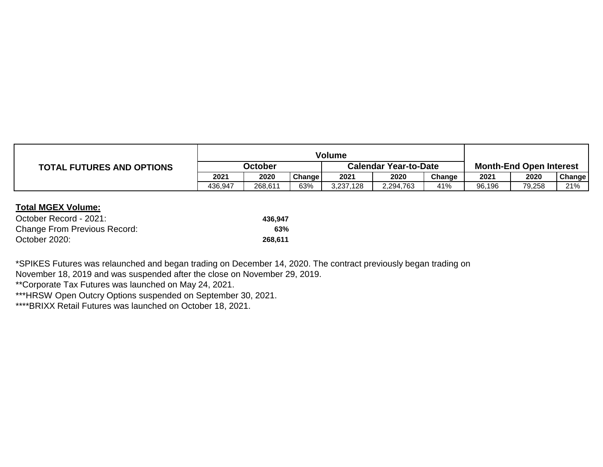|                                  | Volume         |         |        |                              |           |        |                                |        |        |
|----------------------------------|----------------|---------|--------|------------------------------|-----------|--------|--------------------------------|--------|--------|
| <b>TOTAL FUTURES AND OPTIONS</b> | <b>October</b> |         |        | <b>Calendar Year-to-Date</b> |           |        | <b>Month-End Open Interest</b> |        |        |
|                                  | 2021           | 2020    | Change | 2021                         | 2020      | Change | 2021                           | 2020   | Change |
|                                  | 436,947        | 268,611 | 63%    | 3,237,128                    | 2,294,763 | 41%    | 96,196                         | 79,258 | 21%    |

## **Total MGEX Volume:**

| October Record - 2021:              | 436.947 |
|-------------------------------------|---------|
| <b>Change From Previous Record:</b> | 63%     |
| October 2020:                       | 268.611 |

November 18, 2019 and was suspended after the close on November 29, 2019. \*SPIKES Futures was relaunched and began trading on December 14, 2020. The contract previously began trading on

\*\*Corporate Tax Futures was launched on May 24, 2021.

\*\*\*HRSW Open Outcry Options suspended on September 30, 2021.

\*\*\*\*BRIXX Retail Futures was launched on October 18, 2021.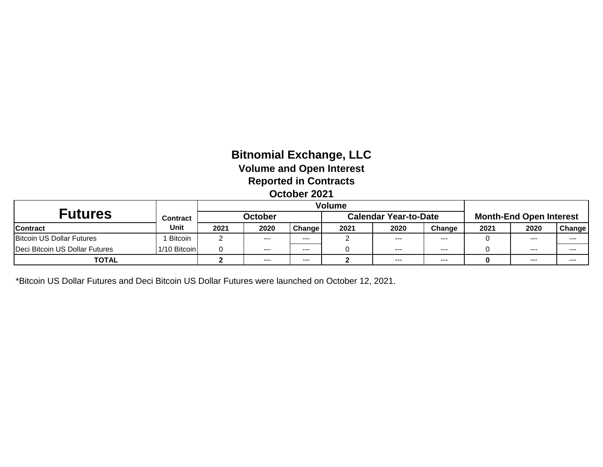# **Bitnomial Exchange, LLC Volume and Open Interest Reported in Contracts October 2021**

| Futures                          | <b>Contract</b> |      | <b>October</b> |         |      | <b>Calendar Year-to-Date</b> |         | <b>Month-End Open Interest</b> |       |         |
|----------------------------------|-----------------|------|----------------|---------|------|------------------------------|---------|--------------------------------|-------|---------|
| <b>Contract</b>                  | Unit            | 2021 | 2020           | Change  | 2021 | 2020                         | Change  | 2021                           | 2020  | Change  |
| <b>Bitcoin US Dollar Futures</b> | <b>Bitcoin</b>  |      | $- - -$        | $- - -$ |      | ---                          | $--$    |                                | $---$ | $- - -$ |
| Deci Bitcoin US Dollar Futures   | 1/10 Bitcoin    |      | $- - -$        | $- - -$ |      | $- - -$                      | $- - -$ |                                | $---$ | $- - -$ |
| <b>TOTAL</b>                     |                 |      | $- - -$        | ---     |      | $- - -$                      | $- - -$ | 0                              | $---$ | $- - -$ |

\*Bitcoin US Dollar Futures and Deci Bitcoin US Dollar Futures were launched on October 12, 2021.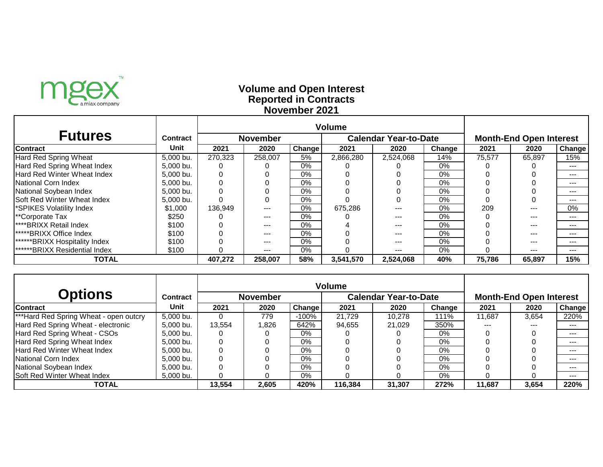

# **Reported in Contracts Volume and Open Interest November 2021**

| <b>Futures</b>                       | Contract  | <b>Calendar Year-to-Date</b><br><b>November</b> |         |               |           |           |        |        | <b>Month-End Open Interest</b> |         |  |  |
|--------------------------------------|-----------|-------------------------------------------------|---------|---------------|-----------|-----------|--------|--------|--------------------------------|---------|--|--|
| Contract                             | Unit      | 2021                                            | 2020    | <b>Change</b> | 2021      | 2020      | Change | 2021   | 2020                           | Change  |  |  |
| Hard Red Spring Wheat                | 5,000 bu. | 270,323                                         | 258,007 | 5%            | 2,866,280 | 2,524,068 | 14%    | 75,577 | 65,897                         | 15%     |  |  |
| Hard Red Spring Wheat Index          | 5,000 bu. |                                                 |         | $0\%$         |           |           | $0\%$  |        |                                | ---     |  |  |
| <b>Hard Red Winter Wheat Index</b>   | 5,000 bu. |                                                 |         | $0\%$         |           |           | 0%     |        |                                | $- - -$ |  |  |
| National Corn Index                  | 5,000 bu. |                                                 |         | $0\%$         |           |           | $0\%$  |        |                                |         |  |  |
| National Soybean Index               | 5,000 bu. |                                                 |         | $0\%$         |           |           | 0%     |        |                                | $- - -$ |  |  |
| Soft Red Winter Wheat Index          | 5,000 bu. |                                                 |         | 0%            |           |           | $0\%$  |        |                                | $- - -$ |  |  |
| <b>SPIKES Volatility Index</b>       | \$1,000   | 136,949                                         |         | 0%            | 675,286   | ---       | $0\%$  | 209    |                                | 0%      |  |  |
| **Corporate Tax                      | \$250     |                                                 |         | $0\%$         |           |           | 0%     |        |                                |         |  |  |
| <b>I****BRIXX Retail Index</b>       | \$100     |                                                 | $- - -$ | $0\%$         |           | ---       | $0\%$  |        | ---                            | ---     |  |  |
| <b>*****BRIXX Office Index</b>       | \$100     |                                                 | ---     | $0\%$         |           | ---       | 0%     |        | ---                            | ---     |  |  |
| <b>******BRIXX Hospitality Index</b> | \$100     |                                                 | ---     | $0\%$         |           | ---       | $0\%$  |        | ---                            | $- - -$ |  |  |
| <b>******BRIXX Residential Index</b> | \$100     |                                                 | $- - -$ | 0%            |           | ---       | 0%     |        | ---                            |         |  |  |
| <b>TOTAL</b>                         |           | 407,272                                         | 258,007 | 58%           | 3,541,570 | 2,524,068 | 40%    | 75,786 | 65,897                         | 15%     |  |  |

| <b>Options</b>                                     | <b>Contract</b> |        | <b>November</b> |               |         | <b>Calendar Year-to-Date</b> |        |        | <b>Month-End Open Interest</b> |        |  |  |
|----------------------------------------------------|-----------------|--------|-----------------|---------------|---------|------------------------------|--------|--------|--------------------------------|--------|--|--|
| <b>Contract</b>                                    | Unit            | 2021   | 2020            | <b>Change</b> | 2021    | 2020                         | Change | 2021   | 2020                           | Change |  |  |
| <sup>***</sup> Hard Red Spring Wheat - open outcry | 5,000 bu.       |        | 779             | $-100\%$      | 21,729  | 10,278                       | 111%   | 11,687 | 3,654                          | 220%   |  |  |
| Hard Red Spring Wheat - electronic                 | 5,000 bu.       | 13,554 | 1,826           | 642%          | 94,655  | 21,029                       | 350%   | ---    | ---                            | ---    |  |  |
| Hard Red Spring Wheat - CSOs                       | 5.000 bu.       |        |                 | $0\%$         |         |                              | $0\%$  |        |                                | ---    |  |  |
| Hard Red Spring Wheat Index                        | 5.000 bu.       |        |                 | 0%            |         |                              | $0\%$  |        |                                |        |  |  |
| <b>Hard Red Winter Wheat Index</b>                 | 5,000 bu.       |        |                 | 0%            |         |                              | $0\%$  |        |                                |        |  |  |
| National Corn Index                                | 5,000 bu.       |        |                 | 0%            |         |                              | $0\%$  |        |                                | ---    |  |  |
| National Soybean Index                             | 5.000 bu.       |        |                 | $0\%$         |         |                              | $0\%$  |        |                                |        |  |  |
| Soft Red Winter Wheat Index                        | 5,000 bu.       |        |                 | 0%            |         |                              | $0\%$  |        |                                | ---    |  |  |
| TOTAL                                              |                 | 13,554 | 2,605           | 420%          | 116,384 | 31,307                       | 272%   | 11,687 | 3,654                          | 220%   |  |  |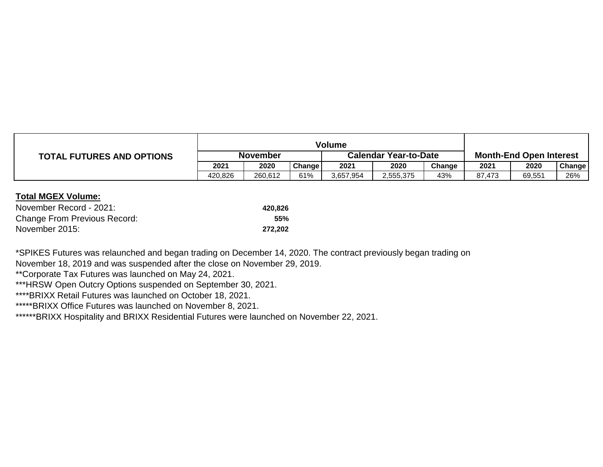|                                  | <b>Volume</b> |         |        |                              |           |        |                                |        |        |
|----------------------------------|---------------|---------|--------|------------------------------|-----------|--------|--------------------------------|--------|--------|
| <b>TOTAL FUTURES AND OPTIONS</b> | November      |         |        | <b>Calendar Year-to-Date</b> |           |        | <b>Month-End Open Interest</b> |        |        |
|                                  | 2021          | 2020    | Change | 2021                         | 2020      | Change | 2021                           | 2020   | Change |
|                                  | 420,826       | 260,612 | 61%    | 3,657,954                    | 2,555,375 | 43%    | 87,473                         | 69,551 | 26%    |

## **Total MGEX Volume:**

| November Record - 2021:             | 420.826    |
|-------------------------------------|------------|
| <b>Change From Previous Record:</b> | <b>55%</b> |
| November 2015:                      | 272.202    |

\*SPIKES Futures was relaunched and began trading on December 14, 2020. The contract previously began trading on

November 18, 2019 and was suspended after the close on November 29, 2019.

\*\*Corporate Tax Futures was launched on May 24, 2021.

\*\*\*HRSW Open Outcry Options suspended on September 30, 2021.

\*\*\*\*BRIXX Retail Futures was launched on October 18, 2021.

\*\*\*\*\*BRIXX Office Futures was launched on November 8, 2021.

\*\*\*\*\*\*BRIXX Hospitality and BRIXX Residential Futures were launched on November 22, 2021.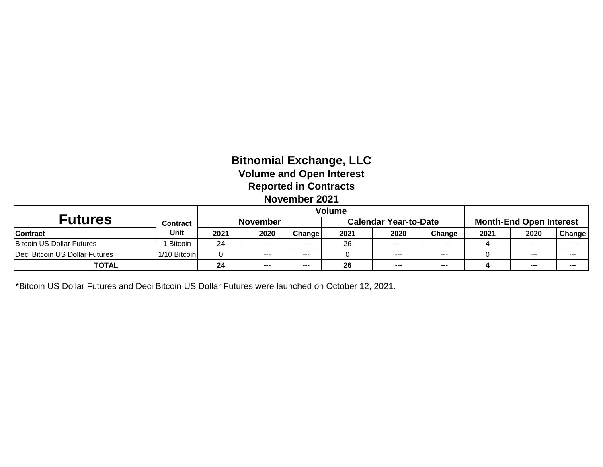# **Bitnomial Exchange, LLC Volume and Open Interest Reported in Contracts November 2021**

|                                |                 | Volume          |         |               |                              |         |        |                                |         |         |
|--------------------------------|-----------------|-----------------|---------|---------------|------------------------------|---------|--------|--------------------------------|---------|---------|
| <b>Futures</b>                 | <b>Contract</b> | <b>November</b> |         |               | <b>Calendar Year-to-Date</b> |         |        | <b>Month-End Open Interest</b> |         |         |
| <b>Contract</b>                | Unit            | 2021            | 2020    | <b>Change</b> | 2021                         | 2020    | Change | 2021                           | 2020    | Change  |
| Bitcoin US Dollar Futures      | <b>Bitcoin</b>  | 24              | $- - -$ | ---           | 26                           | ---     | ---    |                                | $- - -$ | $- - -$ |
| Deci Bitcoin US Dollar Futures | 1/10 Bitcoin    |                 | ----    | ---           |                              | $- - -$ | ---    |                                | $--$    | ---     |
| <b>TOTAL</b>                   |                 | 24              | ---     | ---           | 26                           | $- - -$ | ---    |                                | $--$    | ---     |

\*Bitcoin US Dollar Futures and Deci Bitcoin US Dollar Futures were launched on October 12, 2021.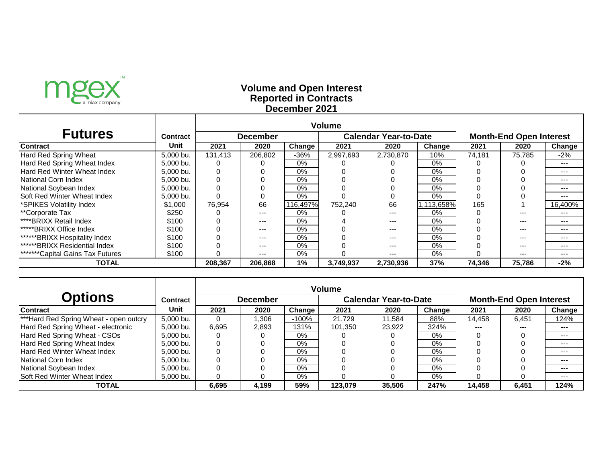

# **Reported in Contracts Volume and Open Interest December 2021**

|                                         |                 | <b>Volume</b> |                 |          |           |                              |            |                                |         |         |
|-----------------------------------------|-----------------|---------------|-----------------|----------|-----------|------------------------------|------------|--------------------------------|---------|---------|
| <b>Futures</b>                          | <b>Contract</b> |               | <b>December</b> |          |           | <b>Calendar Year-to-Date</b> |            | <b>Month-End Open Interest</b> |         |         |
| <b>Contract</b>                         | Unit            | 2021          | 2020            | Change   | 2021      | 2020                         | Change     | 2021                           | 2020    | Change  |
| Hard Red Spring Wheat                   | 5,000 bu.       | 131,413       | 206,802         | $-36%$   | 2,997,693 | 2,730,870                    | 10%        | 74,181                         | 75,785  | $-2%$   |
| Hard Red Spring Wheat Index             | 5,000 bu.       |               |                 | $0\%$    |           |                              | 0%         |                                |         | ---     |
| Hard Red Winter Wheat Index             | 5,000 bu.       |               |                 | $0\%$    |           |                              | 0%         |                                |         | ---     |
| National Corn Index                     | 5,000 bu.       |               |                 | $0\%$    |           |                              | 0%         |                                |         | ---     |
| National Soybean Index                  | 5,000 bu.       |               |                 | $0\%$    |           |                              | 0%         |                                |         | ---     |
| Soft Red Winter Wheat Index             | 5,000 bu.       |               |                 | 0%       |           |                              | 0%         |                                |         | ---     |
| *SPIKES Volatility Index                | \$1,000         | 76,954        | 66              | 116,497% | 752,240   | 66                           | 1,113,658% | 165                            |         | 16,400% |
| **Corporate Tax                         | \$250           |               | $---$           | $0\%$    |           | $- - -$                      | 0%         |                                | ---     | ---     |
| ****BRIXX Retail Index                  | \$100           |               | $---$           | $0\%$    |           | ---                          | 0%         |                                | $- - -$ | ---     |
| <b>*****BRIXX Office Index</b>          | \$100           |               | $---$           | $0\%$    |           | ---                          | 0%         |                                | $- - -$ | ---     |
| ******BRIXX Hospitality Index           | \$100           |               | ---             | $0\%$    |           | $---$                        | 0%         |                                | $- - -$ | ---     |
| <b>******BRIXX Residential Index</b>    | \$100           |               | ---             | $0\%$    |           | $---$                        | 0%         |                                | ---     | $- - -$ |
| <b>*******Capital Gains Tax Futures</b> | \$100           |               | ---             | 0%       |           | ---                          | 0%         |                                | ---     | ---     |
| <b>TOTAL</b>                            |                 | 208.367       | 206,868         | $1\%$    | 3,749,937 | 2,730,936                    | 37%        | 74.346                         | 75,786  | $-2%$   |

|                                        |                 | <b>Volume</b> |                 |         |                              |        |        |                                |         |         |  |
|----------------------------------------|-----------------|---------------|-----------------|---------|------------------------------|--------|--------|--------------------------------|---------|---------|--|
| <b>Options</b>                         | <b>Contract</b> |               | <b>December</b> |         | <b>Calendar Year-to-Date</b> |        |        | <b>Month-End Open Interest</b> |         |         |  |
| <b>Contract</b>                        | Unit            | 2021          | 2020            | Change  | 2021                         | 2020   | Change | 2021                           | 2020    | Change  |  |
| ***Hard Red Spring Wheat - open outcry | 5,000 bu.       | 0             | 0.306           | $-100%$ | 21,729                       | 11,584 | 88%    | 14,458                         | 6,451   | 124%    |  |
| Hard Red Spring Wheat - electronic     | 5,000 bu.       | 6,695         | 2,893           | 131%    | 101,350                      | 23,922 | 324%   | $- - -$                        | $- - -$ | ---     |  |
| Hard Red Spring Wheat - CSOs           | 5,000 bu.       |               |                 | $0\%$   |                              |        | 0%     |                                |         | ---     |  |
| Hard Red Spring Wheat Index            | 5,000 bu.       | 0             |                 | 0%      |                              |        | 0%     |                                |         | $- - -$ |  |
| Hard Red Winter Wheat Index            | 5,000 bu.       |               |                 | $0\%$   |                              |        | 0%     |                                |         | ---     |  |
| National Corn Index                    | 5,000 bu.       |               |                 | $0\%$   |                              |        | 0%     |                                |         | ---     |  |
| National Soybean Index                 | 5,000 bu.       |               |                 | $0\%$   |                              |        | 0%     |                                |         | ---     |  |
| Soft Red Winter Wheat Index            | 5,000 bu.       |               |                 | $0\%$   |                              |        | $0\%$  |                                |         | ---     |  |
| <b>TOTAL</b>                           |                 | 6,695         | 4,199           | 59%     | 123,079                      | 35,506 | 247%   | 14,458                         | 6,451   | 124%    |  |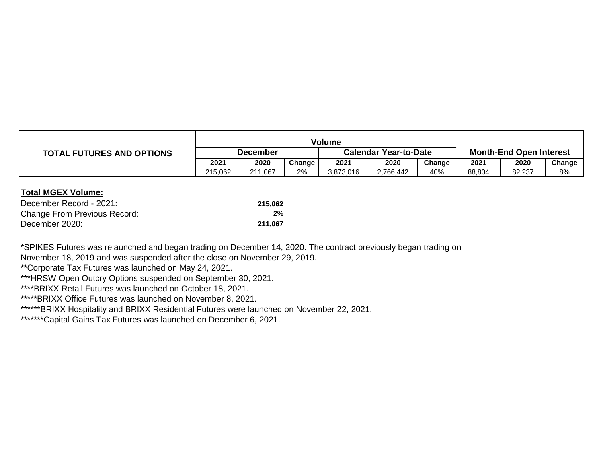|                                  | Volume          |         |        |                              |           |        |                                |        |        |
|----------------------------------|-----------------|---------|--------|------------------------------|-----------|--------|--------------------------------|--------|--------|
| <b>TOTAL FUTURES AND OPTIONS</b> | <b>December</b> |         |        | <b>Calendar Year-to-Date</b> |           |        | <b>Month-End Open Interest</b> |        |        |
|                                  | 2021            | 2020    | Change | 2021                         | 2020      | Change | 2021                           | 2020   | Change |
|                                  | 215,062         | 211,067 | 2%     | 3,873,016                    | 2,766,442 | 40%    | 88,804                         | 82,237 | 8%     |

#### **Total MGEX Volume:**

| December Record - 2021:             | 215.062 |
|-------------------------------------|---------|
| <b>Change From Previous Record:</b> | 2%      |
| December 2020:                      | 211.067 |

November 18, 2019 and was suspended after the close on November 29, 2019. \*SPIKES Futures was relaunched and began trading on December 14, 2020. The contract previously began trading on

\*\*Corporate Tax Futures was launched on May 24, 2021.

\*\*\*HRSW Open Outcry Options suspended on September 30, 2021.

\*\*\*\*BRIXX Retail Futures was launched on October 18, 2021.

\*\*\*\*\*BRIXX Office Futures was launched on November 8, 2021.

\*\*\*\*\*\*BRIXX Hospitality and BRIXX Residential Futures were launched on November 22, 2021.

\*\*\*\*\*\*\*\*Capital Gains Tax Futures was launched on December 6, 2021.